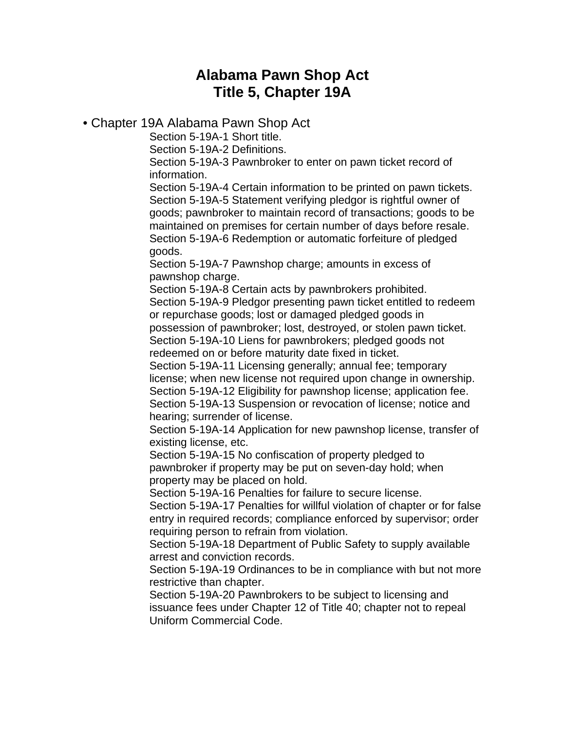# **Alabama Pawn Shop Act Title 5, Chapter 19A**

# • Chapter 19A Alabama Pawn Shop Act

Section 5-19A-1 Short title.

Section 5-19A-2 Definitions.

Section 5-19A-3 Pawnbroker to enter on pawn ticket record of information.

Section 5-19A-4 Certain information to be printed on pawn tickets. Section 5-19A-5 Statement verifying pledgor is rightful owner of goods; pawnbroker to maintain record of transactions; goods to be maintained on premises for certain number of days before resale. Section 5-19A-6 Redemption or automatic forfeiture of pledged goods.

Section 5-19A-7 Pawnshop charge; amounts in excess of pawnshop charge.

Section 5-19A-8 Certain acts by pawnbrokers prohibited. Section 5-19A-9 Pledgor presenting pawn ticket entitled to redeem or repurchase goods; lost or damaged pledged goods in possession of pawnbroker; lost, destroyed, or stolen pawn ticket.

Section 5-19A-10 Liens for pawnbrokers; pledged goods not redeemed on or before maturity date fixed in ticket.

Section 5-19A-11 Licensing generally; annual fee; temporary license; when new license not required upon change in ownership. Section 5-19A-12 Eligibility for pawnshop license; application fee. Section 5-19A-13 Suspension or revocation of license; notice and hearing; surrender of license.

Section 5-19A-14 Application for new pawnshop license, transfer of existing license, etc.

Section 5-19A-15 No confiscation of property pledged to pawnbroker if property may be put on seven-day hold; when property may be placed on hold.

Section 5-19A-16 Penalties for failure to secure license.

Section 5-19A-17 Penalties for willful violation of chapter or for false entry in required records; compliance enforced by supervisor; order requiring person to refrain from violation.

Section 5-19A-18 Department of Public Safety to supply available arrest and conviction records.

Section 5-19A-19 Ordinances to be in compliance with but not more restrictive than chapter.

Section 5-19A-20 Pawnbrokers to be subject to licensing and issuance fees under Chapter 12 of Title 40; chapter not to repeal Uniform Commercial Code.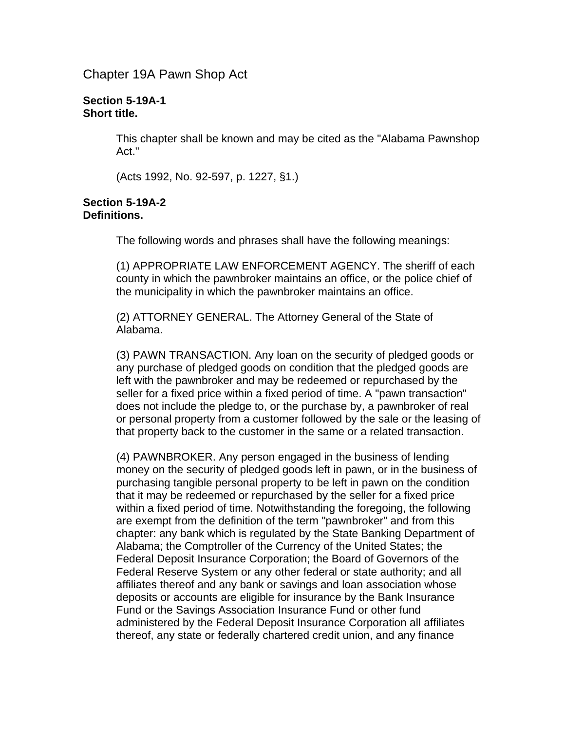Chapter 19A Pawn Shop Act

### **Section 5-19A-1 Short title.**

This chapter shall be known and may be cited as the "Alabama Pawnshop Act."

(Acts 1992, No. 92-597, p. 1227, §1.)

#### **Section 5-19A-2 Definitions.**

The following words and phrases shall have the following meanings:

(1) APPROPRIATE LAW ENFORCEMENT AGENCY. The sheriff of each county in which the pawnbroker maintains an office, or the police chief of the municipality in which the pawnbroker maintains an office.

(2) ATTORNEY GENERAL. The Attorney General of the State of Alabama.

(3) PAWN TRANSACTION. Any loan on the security of pledged goods or any purchase of pledged goods on condition that the pledged goods are left with the pawnbroker and may be redeemed or repurchased by the seller for a fixed price within a fixed period of time. A "pawn transaction" does not include the pledge to, or the purchase by, a pawnbroker of real or personal property from a customer followed by the sale or the leasing of that property back to the customer in the same or a related transaction.

(4) PAWNBROKER. Any person engaged in the business of lending money on the security of pledged goods left in pawn, or in the business of purchasing tangible personal property to be left in pawn on the condition that it may be redeemed or repurchased by the seller for a fixed price within a fixed period of time. Notwithstanding the foregoing, the following are exempt from the definition of the term "pawnbroker" and from this chapter: any bank which is regulated by the State Banking Department of Alabama; the Comptroller of the Currency of the United States; the Federal Deposit Insurance Corporation; the Board of Governors of the Federal Reserve System or any other federal or state authority; and all affiliates thereof and any bank or savings and loan association whose deposits or accounts are eligible for insurance by the Bank Insurance Fund or the Savings Association Insurance Fund or other fund administered by the Federal Deposit Insurance Corporation all affiliates thereof, any state or federally chartered credit union, and any finance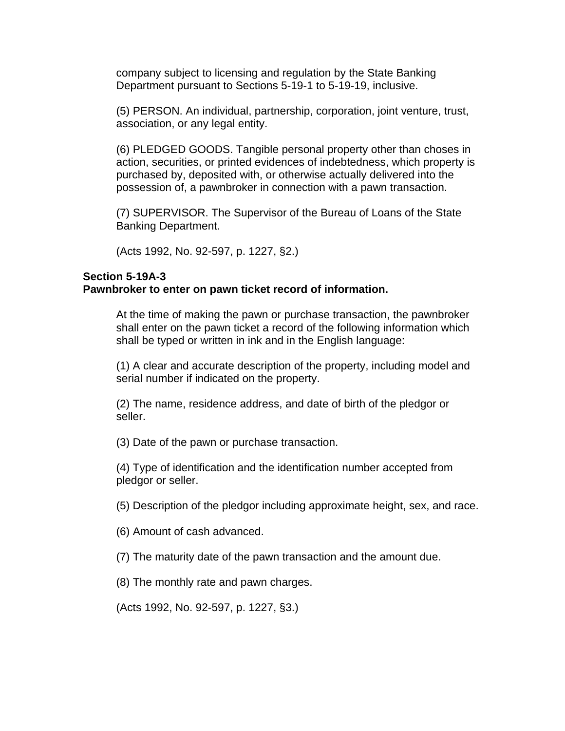company subject to licensing and regulation by the State Banking Department pursuant to Sections 5-19-1 to 5-19-19, inclusive.

(5) PERSON. An individual, partnership, corporation, joint venture, trust, association, or any legal entity.

(6) PLEDGED GOODS. Tangible personal property other than choses in action, securities, or printed evidences of indebtedness, which property is purchased by, deposited with, or otherwise actually delivered into the possession of, a pawnbroker in connection with a pawn transaction.

(7) SUPERVISOR. The Supervisor of the Bureau of Loans of the State Banking Department.

(Acts 1992, No. 92-597, p. 1227, §2.)

### **Section 5-19A-3**

### **Pawnbroker to enter on pawn ticket record of information.**

At the time of making the pawn or purchase transaction, the pawnbroker shall enter on the pawn ticket a record of the following information which shall be typed or written in ink and in the English language:

(1) A clear and accurate description of the property, including model and serial number if indicated on the property.

(2) The name, residence address, and date of birth of the pledgor or seller.

(3) Date of the pawn or purchase transaction.

(4) Type of identification and the identification number accepted from pledgor or seller.

(5) Description of the pledgor including approximate height, sex, and race.

(6) Amount of cash advanced.

(7) The maturity date of the pawn transaction and the amount due.

(8) The monthly rate and pawn charges.

(Acts 1992, No. 92-597, p. 1227, §3.)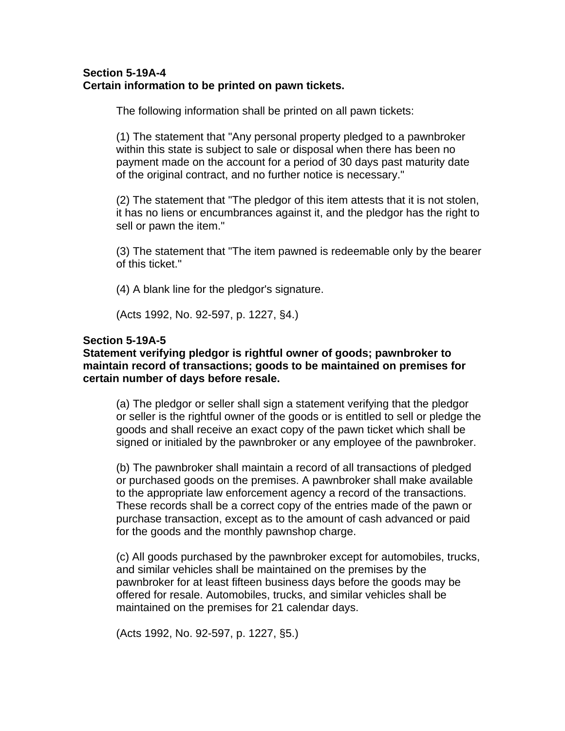# **Section 5-19A-4 Certain information to be printed on pawn tickets.**

The following information shall be printed on all pawn tickets:

(1) The statement that "Any personal property pledged to a pawnbroker within this state is subject to sale or disposal when there has been no payment made on the account for a period of 30 days past maturity date of the original contract, and no further notice is necessary."

(2) The statement that "The pledgor of this item attests that it is not stolen, it has no liens or encumbrances against it, and the pledgor has the right to sell or pawn the item."

(3) The statement that "The item pawned is redeemable only by the bearer of this ticket."

(4) A blank line for the pledgor's signature.

(Acts 1992, No. 92-597, p. 1227, §4.)

# **Section 5-19A-5**

# **Statement verifying pledgor is rightful owner of goods; pawnbroker to maintain record of transactions; goods to be maintained on premises for certain number of days before resale.**

(a) The pledgor or seller shall sign a statement verifying that the pledgor or seller is the rightful owner of the goods or is entitled to sell or pledge the goods and shall receive an exact copy of the pawn ticket which shall be signed or initialed by the pawnbroker or any employee of the pawnbroker.

(b) The pawnbroker shall maintain a record of all transactions of pledged or purchased goods on the premises. A pawnbroker shall make available to the appropriate law enforcement agency a record of the transactions. These records shall be a correct copy of the entries made of the pawn or purchase transaction, except as to the amount of cash advanced or paid for the goods and the monthly pawnshop charge.

(c) All goods purchased by the pawnbroker except for automobiles, trucks, and similar vehicles shall be maintained on the premises by the pawnbroker for at least fifteen business days before the goods may be offered for resale. Automobiles, trucks, and similar vehicles shall be maintained on the premises for 21 calendar days.

(Acts 1992, No. 92-597, p. 1227, §5.)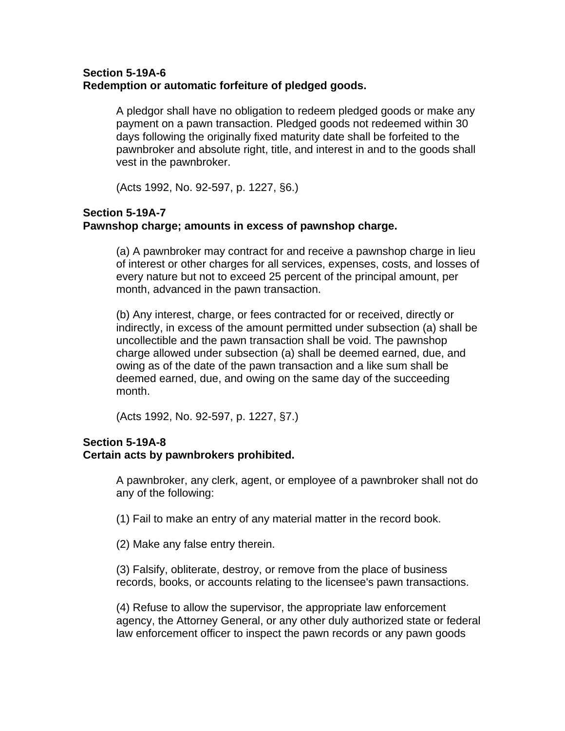# **Section 5-19A-6 Redemption or automatic forfeiture of pledged goods.**

A pledgor shall have no obligation to redeem pledged goods or make any payment on a pawn transaction. Pledged goods not redeemed within 30 days following the originally fixed maturity date shall be forfeited to the pawnbroker and absolute right, title, and interest in and to the goods shall vest in the pawnbroker.

(Acts 1992, No. 92-597, p. 1227, §6.)

# **Section 5-19A-7 Pawnshop charge; amounts in excess of pawnshop charge.**

(a) A pawnbroker may contract for and receive a pawnshop charge in lieu of interest or other charges for all services, expenses, costs, and losses of every nature but not to exceed 25 percent of the principal amount, per month, advanced in the pawn transaction.

(b) Any interest, charge, or fees contracted for or received, directly or indirectly, in excess of the amount permitted under subsection (a) shall be uncollectible and the pawn transaction shall be void. The pawnshop charge allowed under subsection (a) shall be deemed earned, due, and owing as of the date of the pawn transaction and a like sum shall be deemed earned, due, and owing on the same day of the succeeding month.

(Acts 1992, No. 92-597, p. 1227, §7.)

# **Section 5-19A-8 Certain acts by pawnbrokers prohibited.**

A pawnbroker, any clerk, agent, or employee of a pawnbroker shall not do any of the following:

(1) Fail to make an entry of any material matter in the record book.

(2) Make any false entry therein.

(3) Falsify, obliterate, destroy, or remove from the place of business records, books, or accounts relating to the licensee's pawn transactions.

(4) Refuse to allow the supervisor, the appropriate law enforcement agency, the Attorney General, or any other duly authorized state or federal law enforcement officer to inspect the pawn records or any pawn goods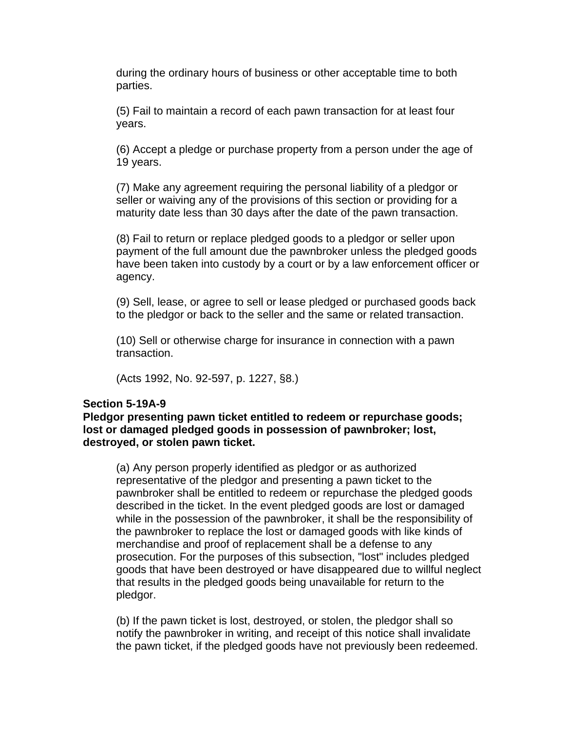during the ordinary hours of business or other acceptable time to both parties.

(5) Fail to maintain a record of each pawn transaction for at least four years.

(6) Accept a pledge or purchase property from a person under the age of 19 years.

(7) Make any agreement requiring the personal liability of a pledgor or seller or waiving any of the provisions of this section or providing for a maturity date less than 30 days after the date of the pawn transaction.

(8) Fail to return or replace pledged goods to a pledgor or seller upon payment of the full amount due the pawnbroker unless the pledged goods have been taken into custody by a court or by a law enforcement officer or agency.

(9) Sell, lease, or agree to sell or lease pledged or purchased goods back to the pledgor or back to the seller and the same or related transaction.

(10) Sell or otherwise charge for insurance in connection with a pawn transaction.

(Acts 1992, No. 92-597, p. 1227, §8.)

### **Section 5-19A-9**

**Pledgor presenting pawn ticket entitled to redeem or repurchase goods; lost or damaged pledged goods in possession of pawnbroker; lost, destroyed, or stolen pawn ticket.** 

(a) Any person properly identified as pledgor or as authorized representative of the pledgor and presenting a pawn ticket to the pawnbroker shall be entitled to redeem or repurchase the pledged goods described in the ticket. In the event pledged goods are lost or damaged while in the possession of the pawnbroker, it shall be the responsibility of the pawnbroker to replace the lost or damaged goods with like kinds of merchandise and proof of replacement shall be a defense to any prosecution. For the purposes of this subsection, "lost" includes pledged goods that have been destroyed or have disappeared due to willful neglect that results in the pledged goods being unavailable for return to the pledgor.

(b) If the pawn ticket is lost, destroyed, or stolen, the pledgor shall so notify the pawnbroker in writing, and receipt of this notice shall invalidate the pawn ticket, if the pledged goods have not previously been redeemed.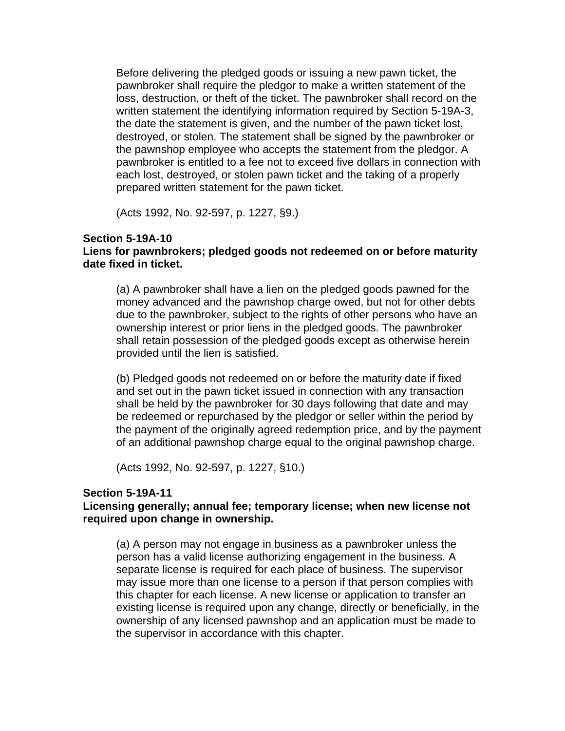Before delivering the pledged goods or issuing a new pawn ticket, the pawnbroker shall require the pledgor to make a written statement of the loss, destruction, or theft of the ticket. The pawnbroker shall record on the written statement the identifying information required by Section 5-19A-3, the date the statement is given, and the number of the pawn ticket lost, destroyed, or stolen. The statement shall be signed by the pawnbroker or the pawnshop employee who accepts the statement from the pledgor. A pawnbroker is entitled to a fee not to exceed five dollars in connection with each lost, destroyed, or stolen pawn ticket and the taking of a properly prepared written statement for the pawn ticket.

(Acts 1992, No. 92-597, p. 1227, §9.)

### **Section 5-19A-10**

# **Liens for pawnbrokers; pledged goods not redeemed on or before maturity date fixed in ticket.**

(a) A pawnbroker shall have a lien on the pledged goods pawned for the money advanced and the pawnshop charge owed, but not for other debts due to the pawnbroker, subject to the rights of other persons who have an ownership interest or prior liens in the pledged goods. The pawnbroker shall retain possession of the pledged goods except as otherwise herein provided until the lien is satisfied.

(b) Pledged goods not redeemed on or before the maturity date if fixed and set out in the pawn ticket issued in connection with any transaction shall be held by the pawnbroker for 30 days following that date and may be redeemed or repurchased by the pledgor or seller within the period by the payment of the originally agreed redemption price, and by the payment of an additional pawnshop charge equal to the original pawnshop charge.

(Acts 1992, No. 92-597, p. 1227, §10.)

### **Section 5-19A-11**

# **Licensing generally; annual fee; temporary license; when new license not required upon change in ownership.**

(a) A person may not engage in business as a pawnbroker unless the person has a valid license authorizing engagement in the business. A separate license is required for each place of business. The supervisor may issue more than one license to a person if that person complies with this chapter for each license. A new license or application to transfer an existing license is required upon any change, directly or beneficially, in the ownership of any licensed pawnshop and an application must be made to the supervisor in accordance with this chapter.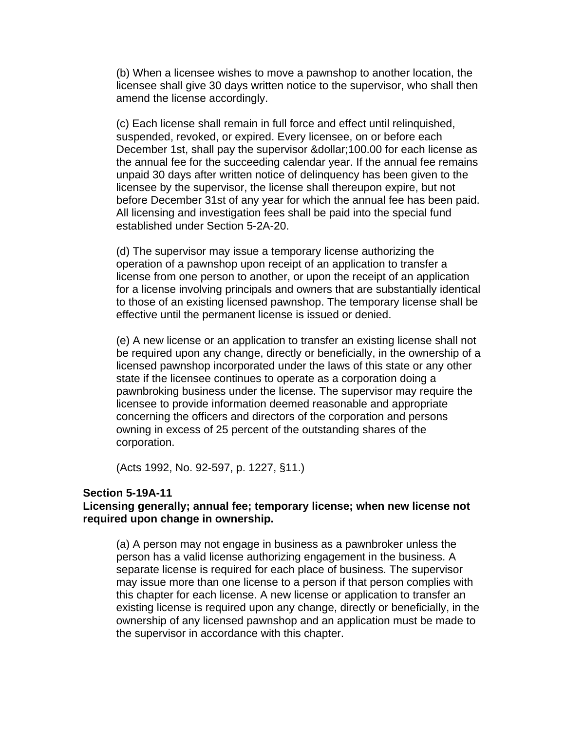(b) When a licensee wishes to move a pawnshop to another location, the licensee shall give 30 days written notice to the supervisor, who shall then amend the license accordingly.

(c) Each license shall remain in full force and effect until relinquished, suspended, revoked, or expired. Every licensee, on or before each December 1st, shall pay the supervisor & dollar; 100.00 for each license as the annual fee for the succeeding calendar year. If the annual fee remains unpaid 30 days after written notice of delinquency has been given to the licensee by the supervisor, the license shall thereupon expire, but not before December 31st of any year for which the annual fee has been paid. All licensing and investigation fees shall be paid into the special fund established under Section 5-2A-20.

(d) The supervisor may issue a temporary license authorizing the operation of a pawnshop upon receipt of an application to transfer a license from one person to another, or upon the receipt of an application for a license involving principals and owners that are substantially identical to those of an existing licensed pawnshop. The temporary license shall be effective until the permanent license is issued or denied.

(e) A new license or an application to transfer an existing license shall not be required upon any change, directly or beneficially, in the ownership of a licensed pawnshop incorporated under the laws of this state or any other state if the licensee continues to operate as a corporation doing a pawnbroking business under the license. The supervisor may require the licensee to provide information deemed reasonable and appropriate concerning the officers and directors of the corporation and persons owning in excess of 25 percent of the outstanding shares of the corporation.

(Acts 1992, No. 92-597, p. 1227, §11.)

#### **Section 5-19A-11**

### **Licensing generally; annual fee; temporary license; when new license not required upon change in ownership.**

(a) A person may not engage in business as a pawnbroker unless the person has a valid license authorizing engagement in the business. A separate license is required for each place of business. The supervisor may issue more than one license to a person if that person complies with this chapter for each license. A new license or application to transfer an existing license is required upon any change, directly or beneficially, in the ownership of any licensed pawnshop and an application must be made to the supervisor in accordance with this chapter.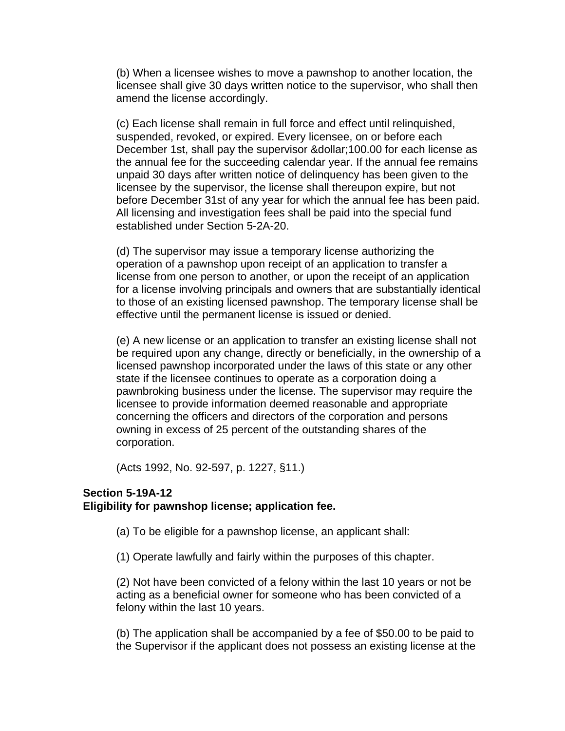(b) When a licensee wishes to move a pawnshop to another location, the licensee shall give 30 days written notice to the supervisor, who shall then amend the license accordingly.

(c) Each license shall remain in full force and effect until relinquished, suspended, revoked, or expired. Every licensee, on or before each December 1st, shall pay the supervisor & dollar; 100.00 for each license as the annual fee for the succeeding calendar year. If the annual fee remains unpaid 30 days after written notice of delinquency has been given to the licensee by the supervisor, the license shall thereupon expire, but not before December 31st of any year for which the annual fee has been paid. All licensing and investigation fees shall be paid into the special fund established under Section 5-2A-20.

(d) The supervisor may issue a temporary license authorizing the operation of a pawnshop upon receipt of an application to transfer a license from one person to another, or upon the receipt of an application for a license involving principals and owners that are substantially identical to those of an existing licensed pawnshop. The temporary license shall be effective until the permanent license is issued or denied.

(e) A new license or an application to transfer an existing license shall not be required upon any change, directly or beneficially, in the ownership of a licensed pawnshop incorporated under the laws of this state or any other state if the licensee continues to operate as a corporation doing a pawnbroking business under the license. The supervisor may require the licensee to provide information deemed reasonable and appropriate concerning the officers and directors of the corporation and persons owning in excess of 25 percent of the outstanding shares of the corporation.

(Acts 1992, No. 92-597, p. 1227, §11.)

### **Section 5-19A-12 Eligibility for pawnshop license; application fee.**

(a) To be eligible for a pawnshop license, an applicant shall:

(1) Operate lawfully and fairly within the purposes of this chapter.

(2) Not have been convicted of a felony within the last 10 years or not be acting as a beneficial owner for someone who has been convicted of a felony within the last 10 years.

(b) The application shall be accompanied by a fee of \$50.00 to be paid to the Supervisor if the applicant does not possess an existing license at the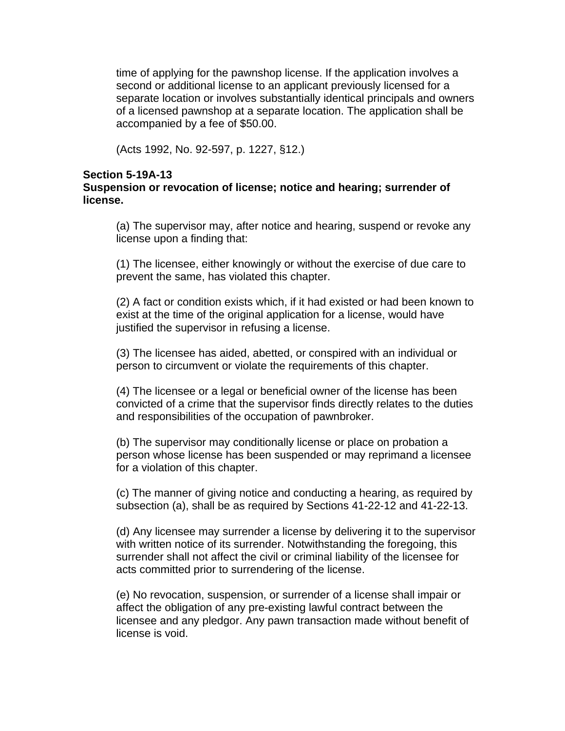time of applying for the pawnshop license. If the application involves a second or additional license to an applicant previously licensed for a separate location or involves substantially identical principals and owners of a licensed pawnshop at a separate location. The application shall be accompanied by a fee of \$50.00.

(Acts 1992, No. 92-597, p. 1227, §12.)

### **Section 5-19A-13**

# **Suspension or revocation of license; notice and hearing; surrender of license.**

(a) The supervisor may, after notice and hearing, suspend or revoke any license upon a finding that:

(1) The licensee, either knowingly or without the exercise of due care to prevent the same, has violated this chapter.

(2) A fact or condition exists which, if it had existed or had been known to exist at the time of the original application for a license, would have justified the supervisor in refusing a license.

(3) The licensee has aided, abetted, or conspired with an individual or person to circumvent or violate the requirements of this chapter.

(4) The licensee or a legal or beneficial owner of the license has been convicted of a crime that the supervisor finds directly relates to the duties and responsibilities of the occupation of pawnbroker.

(b) The supervisor may conditionally license or place on probation a person whose license has been suspended or may reprimand a licensee for a violation of this chapter.

(c) The manner of giving notice and conducting a hearing, as required by subsection (a), shall be as required by Sections 41-22-12 and 41-22-13.

(d) Any licensee may surrender a license by delivering it to the supervisor with written notice of its surrender. Notwithstanding the foregoing, this surrender shall not affect the civil or criminal liability of the licensee for acts committed prior to surrendering of the license.

(e) No revocation, suspension, or surrender of a license shall impair or affect the obligation of any pre-existing lawful contract between the licensee and any pledgor. Any pawn transaction made without benefit of license is void.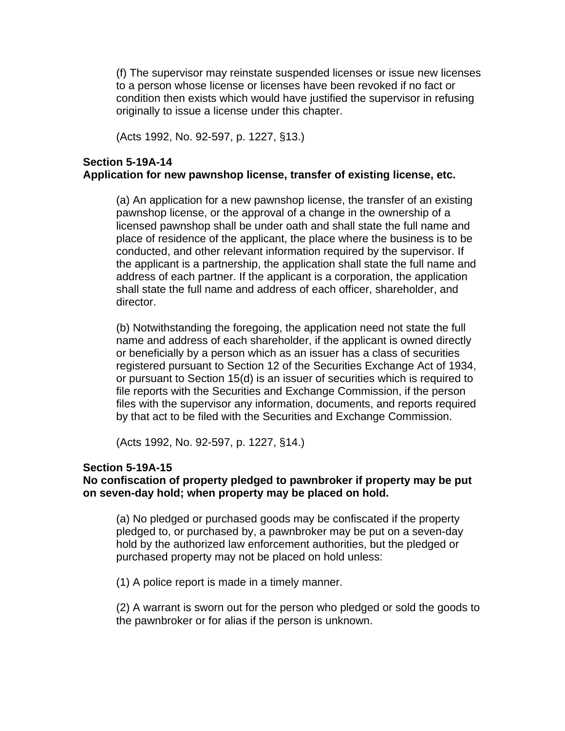(f) The supervisor may reinstate suspended licenses or issue new licenses to a person whose license or licenses have been revoked if no fact or condition then exists which would have justified the supervisor in refusing originally to issue a license under this chapter.

(Acts 1992, No. 92-597, p. 1227, §13.)

# **Section 5-19A-14 Application for new pawnshop license, transfer of existing license, etc.**

(a) An application for a new pawnshop license, the transfer of an existing pawnshop license, or the approval of a change in the ownership of a licensed pawnshop shall be under oath and shall state the full name and place of residence of the applicant, the place where the business is to be conducted, and other relevant information required by the supervisor. If the applicant is a partnership, the application shall state the full name and address of each partner. If the applicant is a corporation, the application shall state the full name and address of each officer, shareholder, and director.

(b) Notwithstanding the foregoing, the application need not state the full name and address of each shareholder, if the applicant is owned directly or beneficially by a person which as an issuer has a class of securities registered pursuant to Section 12 of the Securities Exchange Act of 1934, or pursuant to Section 15(d) is an issuer of securities which is required to file reports with the Securities and Exchange Commission, if the person files with the supervisor any information, documents, and reports required by that act to be filed with the Securities and Exchange Commission.

(Acts 1992, No. 92-597, p. 1227, §14.)

### **Section 5-19A-15**

# **No confiscation of property pledged to pawnbroker if property may be put on seven-day hold; when property may be placed on hold.**

(a) No pledged or purchased goods may be confiscated if the property pledged to, or purchased by, a pawnbroker may be put on a seven-day hold by the authorized law enforcement authorities, but the pledged or purchased property may not be placed on hold unless:

(1) A police report is made in a timely manner.

(2) A warrant is sworn out for the person who pledged or sold the goods to the pawnbroker or for alias if the person is unknown.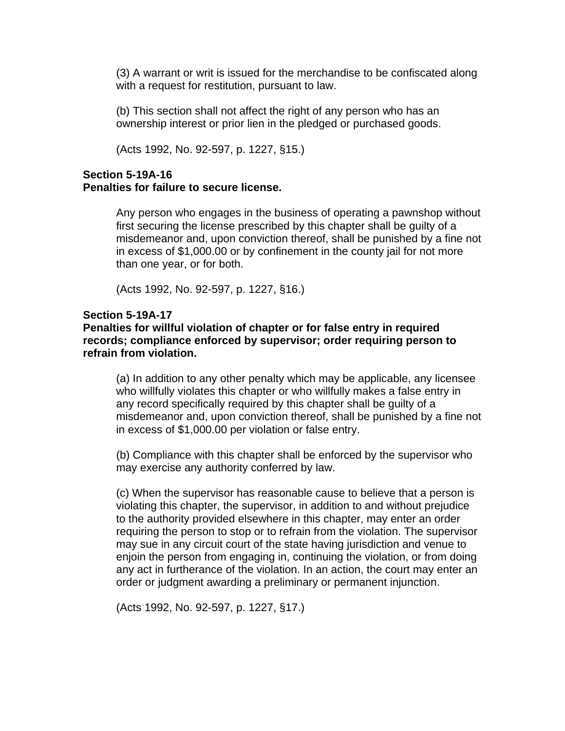(3) A warrant or writ is issued for the merchandise to be confiscated along with a request for restitution, pursuant to law.

(b) This section shall not affect the right of any person who has an ownership interest or prior lien in the pledged or purchased goods.

(Acts 1992, No. 92-597, p. 1227, §15.)

# **Section 5-19A-16 Penalties for failure to secure license.**

Any person who engages in the business of operating a pawnshop without first securing the license prescribed by this chapter shall be guilty of a misdemeanor and, upon conviction thereof, shall be punished by a fine not in excess of \$1,000.00 or by confinement in the county jail for not more than one year, or for both.

(Acts 1992, No. 92-597, p. 1227, §16.)

### **Section 5-19A-17**

# **Penalties for willful violation of chapter or for false entry in required records; compliance enforced by supervisor; order requiring person to refrain from violation.**

(a) In addition to any other penalty which may be applicable, any licensee who willfully violates this chapter or who willfully makes a false entry in any record specifically required by this chapter shall be guilty of a misdemeanor and, upon conviction thereof, shall be punished by a fine not in excess of \$1,000.00 per violation or false entry.

(b) Compliance with this chapter shall be enforced by the supervisor who may exercise any authority conferred by law.

(c) When the supervisor has reasonable cause to believe that a person is violating this chapter, the supervisor, in addition to and without prejudice to the authority provided elsewhere in this chapter, may enter an order requiring the person to stop or to refrain from the violation. The supervisor may sue in any circuit court of the state having jurisdiction and venue to enjoin the person from engaging in, continuing the violation, or from doing any act in furtherance of the violation. In an action, the court may enter an order or judgment awarding a preliminary or permanent injunction.

(Acts 1992, No. 92-597, p. 1227, §17.)